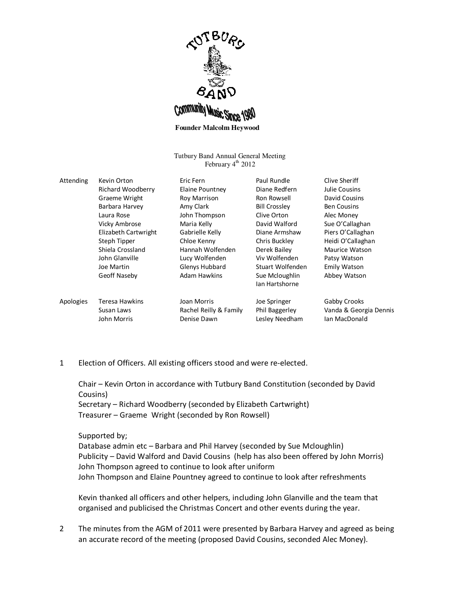

**Founder Malcolm Heywood** 

Tutbury Band Annual General Meeting February  $4<sup>th</sup>$  2012

| Attending | Kevin Orton          | Eric Fern              | Paul Rundle                      | Clive Sheriff          |
|-----------|----------------------|------------------------|----------------------------------|------------------------|
|           | Richard Woodberry    | Elaine Pountney        | Diane Redfern                    | Julie Cousins          |
|           | Graeme Wright        | Roy Marrison           | Ron Rowsell                      | David Cousins          |
|           | Barbara Harvey       | Amy Clark              | <b>Bill Crossley</b>             | <b>Ben Cousins</b>     |
|           | Laura Rose           | John Thompson          | Clive Orton                      | Alec Money             |
|           | <b>Vicky Ambrose</b> | Maria Kelly            | David Walford                    | Sue O'Callaghan        |
|           | Elizabeth Cartwright | Gabrielle Kelly        | Diane Armshaw                    | Piers O'Callaghan      |
|           | Steph Tipper         | Chloe Kenny            | Chris Buckley                    | Heidi O'Callaghan      |
|           | Shiela Crossland     | Hannah Wolfenden       | Derek Bailey                     | Maurice Watson         |
|           | John Glanville       | Lucy Wolfenden         | Viv Wolfenden                    | Patsy Watson           |
|           | Joe Martin           | Glenys Hubbard         | Stuart Wolfenden                 | <b>Emily Watson</b>    |
|           | Geoff Naseby         | Adam Hawkins           | Sue Mcloughlin<br>lan Hartshorne | Abbey Watson           |
| Apologies | Teresa Hawkins       | Joan Morris            | Joe Springer                     | Gabby Crooks           |
|           | Susan Laws           | Rachel Reilly & Family | Phil Baggerley                   | Vanda & Georgia Dennis |
|           | John Morris          | Denise Dawn            | Lesley Needham                   | Ian MacDonald          |

1 Election of Officers. All existing officers stood and were re-elected.

Chair – Kevin Orton in accordance with Tutbury Band Constitution (seconded by David Cousins)

Secretary – Richard Woodberry (seconded by Elizabeth Cartwright) Treasurer – Graeme Wright (seconded by Ron Rowsell)

## Supported by;

Database admin etc – Barbara and Phil Harvey (seconded by Sue Mcloughlin) Publicity – David Walford and David Cousins (help has also been offered by John Morris) John Thompson agreed to continue to look after uniform John Thompson and Elaine Pountney agreed to continue to look after refreshments

Kevin thanked all officers and other helpers, including John Glanville and the team that organised and publicised the Christmas Concert and other events during the year.

2 The minutes from the AGM of 2011 were presented by Barbara Harvey and agreed as being an accurate record of the meeting (proposed David Cousins, seconded Alec Money).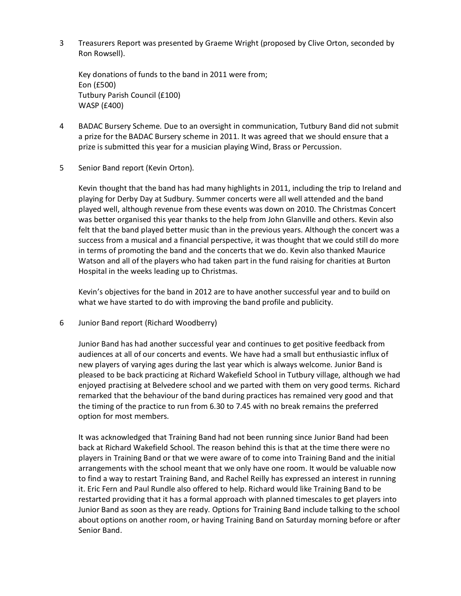3 Treasurers Report was presented by Graeme Wright (proposed by Clive Orton, seconded by Ron Rowsell).

Key donations of funds to the band in 2011 were from; Eon (£500) Tutbury Parish Council (£100) WASP (£400)

- 4 BADAC Bursery Scheme. Due to an oversight in communication, Tutbury Band did not submit a prize for the BADAC Bursery scheme in 2011. It was agreed that we should ensure that a prize is submitted this year for a musician playing Wind, Brass or Percussion.
- 5 Senior Band report (Kevin Orton).

Kevin thought that the band has had many highlights in 2011, including the trip to Ireland and playing for Derby Day at Sudbury. Summer concerts were all well attended and the band played well, although revenue from these events was down on 2010. The Christmas Concert was better organised this year thanks to the help from John Glanville and others. Kevin also felt that the band played better music than in the previous years. Although the concert was a success from a musical and a financial perspective, it was thought that we could still do more in terms of promoting the band and the concerts that we do. Kevin also thanked Maurice Watson and all of the players who had taken part in the fund raising for charities at Burton Hospital in the weeks leading up to Christmas.

Kevin's objectives for the band in 2012 are to have another successful year and to build on what we have started to do with improving the band profile and publicity.

6 Junior Band report (Richard Woodberry)

Junior Band has had another successful year and continues to get positive feedback from audiences at all of our concerts and events. We have had a small but enthusiastic influx of new players of varying ages during the last year which is always welcome. Junior Band is pleased to be back practicing at Richard Wakefield School in Tutbury village, although we had enjoyed practising at Belvedere school and we parted with them on very good terms. Richard remarked that the behaviour of the band during practices has remained very good and that the timing of the practice to run from 6.30 to 7.45 with no break remains the preferred option for most members.

It was acknowledged that Training Band had not been running since Junior Band had been back at Richard Wakefield School. The reason behind this is that at the time there were no players in Training Band or that we were aware of to come into Training Band and the initial arrangements with the school meant that we only have one room. It would be valuable now to find a way to restart Training Band, and Rachel Reilly has expressed an interest in running it. Eric Fern and Paul Rundle also offered to help. Richard would like Training Band to be restarted providing that it has a formal approach with planned timescales to get players into Junior Band as soon as they are ready. Options for Training Band include talking to the school about options on another room, or having Training Band on Saturday morning before or after Senior Band.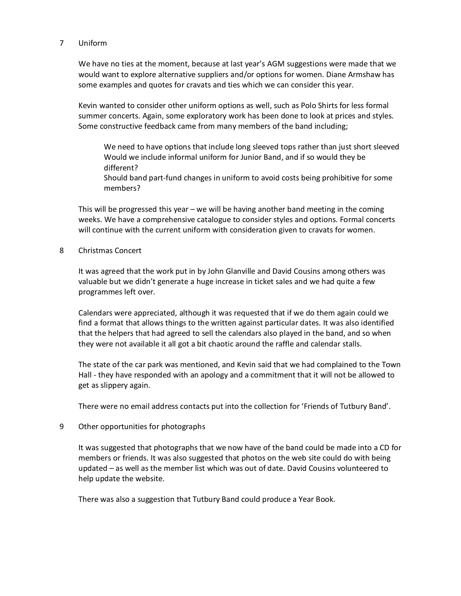## 7 Uniform

We have no ties at the moment, because at last year's AGM suggestions were made that we would want to explore alternative suppliers and/or options for women. Diane Armshaw has some examples and quotes for cravats and ties which we can consider this year.

Kevin wanted to consider other uniform options as well, such as Polo Shirts for less formal summer concerts. Again, some exploratory work has been done to look at prices and styles. Some constructive feedback came from many members of the band including;

We need to have options that include long sleeved tops rather than just short sleeved Would we include informal uniform for Junior Band, and if so would they be different?

Should band part-fund changes in uniform to avoid costs being prohibitive for some members?

This will be progressed this year – we will be having another band meeting in the coming weeks. We have a comprehensive catalogue to consider styles and options. Formal concerts will continue with the current uniform with consideration given to cravats for women.

8 Christmas Concert

It was agreed that the work put in by John Glanville and David Cousins among others was valuable but we didn't generate a huge increase in ticket sales and we had quite a few programmes left over.

Calendars were appreciated, although it was requested that if we do them again could we find a format that allows things to the written against particular dates. It was also identified that the helpers that had agreed to sell the calendars also played in the band, and so when they were not available it all got a bit chaotic around the raffle and calendar stalls.

The state of the car park was mentioned, and Kevin said that we had complained to the Town Hall - they have responded with an apology and a commitment that it will not be allowed to get as slippery again.

There were no email address contacts put into the collection for 'Friends of Tutbury Band'.

9 Other opportunities for photographs

It was suggested that photographs that we now have of the band could be made into a CD for members or friends. It was also suggested that photos on the web site could do with being updated – as well as the member list which was out of date. David Cousins volunteered to help update the website.

There was also a suggestion that Tutbury Band could produce a Year Book.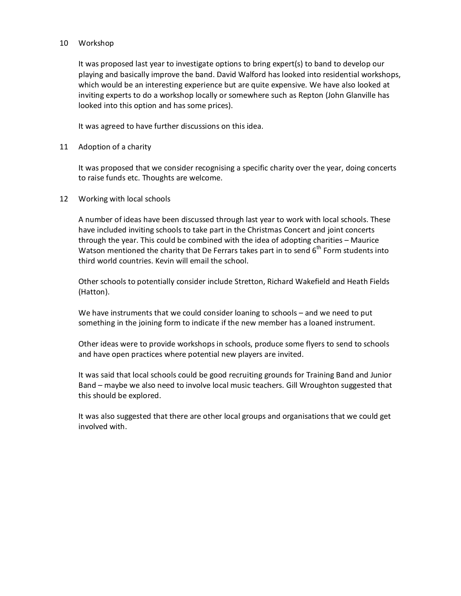## 10 Workshop

It was proposed last year to investigate options to bring expert(s) to band to develop our playing and basically improve the band. David Walford has looked into residential workshops, which would be an interesting experience but are quite expensive. We have also looked at inviting experts to do a workshop locally or somewhere such as Repton (John Glanville has looked into this option and has some prices).

It was agreed to have further discussions on this idea.

11 Adoption of a charity

It was proposed that we consider recognising a specific charity over the year, doing concerts to raise funds etc. Thoughts are welcome.

12 Working with local schools

A number of ideas have been discussed through last year to work with local schools. These have included inviting schools to take part in the Christmas Concert and joint concerts through the year. This could be combined with the idea of adopting charities – Maurice Watson mentioned the charity that De Ferrars takes part in to send  $6<sup>th</sup>$  Form students into third world countries. Kevin will email the school.

Other schools to potentially consider include Stretton, Richard Wakefield and Heath Fields (Hatton).

We have instruments that we could consider loaning to schools – and we need to put something in the joining form to indicate if the new member has a loaned instrument.

Other ideas were to provide workshops in schools, produce some flyers to send to schools and have open practices where potential new players are invited.

It was said that local schools could be good recruiting grounds for Training Band and Junior Band – maybe we also need to involve local music teachers. Gill Wroughton suggested that this should be explored.

It was also suggested that there are other local groups and organisations that we could get involved with.